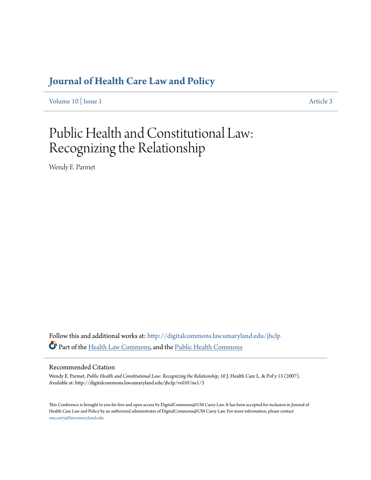## **[Journal of Health Care Law and Policy](http://digitalcommons.law.umaryland.edu/jhclp?utm_source=digitalcommons.law.umaryland.edu%2Fjhclp%2Fvol10%2Fiss1%2F3&utm_medium=PDF&utm_campaign=PDFCoverPages)**

[Volume 10](http://digitalcommons.law.umaryland.edu/jhclp/vol10?utm_source=digitalcommons.law.umaryland.edu%2Fjhclp%2Fvol10%2Fiss1%2F3&utm_medium=PDF&utm_campaign=PDFCoverPages) | [Issue 1](http://digitalcommons.law.umaryland.edu/jhclp/vol10/iss1?utm_source=digitalcommons.law.umaryland.edu%2Fjhclp%2Fvol10%2Fiss1%2F3&utm_medium=PDF&utm_campaign=PDFCoverPages) [Article 3](http://digitalcommons.law.umaryland.edu/jhclp/vol10/iss1/3?utm_source=digitalcommons.law.umaryland.edu%2Fjhclp%2Fvol10%2Fiss1%2F3&utm_medium=PDF&utm_campaign=PDFCoverPages)

# Public Health and Constitutional Law: Recognizing the Relationship

Wendy E. Parmet

Follow this and additional works at: [http://digitalcommons.law.umaryland.edu/jhclp](http://digitalcommons.law.umaryland.edu/jhclp?utm_source=digitalcommons.law.umaryland.edu%2Fjhclp%2Fvol10%2Fiss1%2F3&utm_medium=PDF&utm_campaign=PDFCoverPages) Part of the [Health Law Commons,](http://network.bepress.com/hgg/discipline/901?utm_source=digitalcommons.law.umaryland.edu%2Fjhclp%2Fvol10%2Fiss1%2F3&utm_medium=PDF&utm_campaign=PDFCoverPages) and the [Public Health Commons](http://network.bepress.com/hgg/discipline/738?utm_source=digitalcommons.law.umaryland.edu%2Fjhclp%2Fvol10%2Fiss1%2F3&utm_medium=PDF&utm_campaign=PDFCoverPages)

### Recommended Citation

Wendy E. Parmet, *Public Health and Constitutional Law: Recognizing the Relationship*, 10 J. Health Care L. & Pol'y 13 (2007). Available at: http://digitalcommons.law.umaryland.edu/jhclp/vol10/iss1/3

This Conference is brought to you for free and open access by DigitalCommons@UM Carey Law. It has been accepted for inclusion in Journal of Health Care Law and Policy by an authorized administrator of DigitalCommons@UM Carey Law. For more information, please contact [smccarty@law.umaryland.edu.](mailto:smccarty@law.umaryland.edu)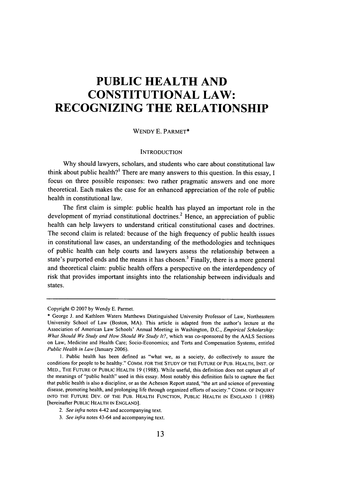# **PUBLIC HEALTH AND CONSTITUTIONAL LAW: RECOGNIZING THE RELATIONSHIP**

#### **WENDY E.** PARMET\*

#### **INTRODUCTION**

**Why** should lawyers, scholars, and students who care about constitutional law think about public health?' There are many answers to this question. In this essay, **I** focus on three possible responses: two rather pragmatic answers and one more theoretical. Each makes the case for an enhanced appreciation of the role of public health in constitutional law.

The first claim is simple: public health has played an important role in the development of myriad constitutional doctrines.<sup>2</sup> Hence, an appreciation of public health can help lawyers to understand critical constitutional cases and doctrines. The second claim is related: because of the high frequency of public health issues in constitutional law cases, an understanding of the methodologies and techniques of public health can help courts and lawyers assess the relationship between a state's purported ends and the means it has chosen.<sup>3</sup> Finally, there is a more general and theoretical claim: public health offers a perspective on the interdependency of risk that provides important insights into the relationship between individuals and states.

Copyright © 2007 by Wendy E. Parmet.

<sup>\*</sup> George J. and Kathleen Waters Matthews Distinguished University Professor of Law, Northeastern University School of Law (Boston, MA). This article is adapted from the author's lecture at the Association of American Law Schools' Annual Meeting in Washington, D.C., Empirical Scholarship: *What Should We Study and How Should We Study It?,* which was co-sponsored **by** the **AALS** Sections on Law, Medicine and Health Care; Socio-Economics; and Torts and Compensation Systems, entitled *Public Health in Law* (January 2006).

**<sup>1.</sup>** Public health has been defined as "what we, as a society, do collectively to assure the conditions for people to be healthy." COMM. FOR THE STUDY OF THE FUTURE OF PUB. HEALTH, INST. OF MED., THE FUTURE OF PUBLIC HEALTH 19 (1988). While useful, this definition does not capture all of the meanings of "public health" used in this essay. Most notably this definition fails to capture the fact that public health is also a discipline, or as the Acheson Report stated, "the art and science of preventing disease, promoting health, and prolonging life through organized efforts of society." COMM. OF INQUIRY INTO THE FUTURE DEV. OF THE PUB. HEALTH FUNCTION, PUBLIC HEALTH IN ENGLAND **1** (1988) [hereinafter PUBLIC HEALTH IN ENGLAND].

*<sup>2.</sup> See infra* notes 4-42 and accompanying text.

*<sup>3.</sup> See infra* notes 43-64 and accompanying text.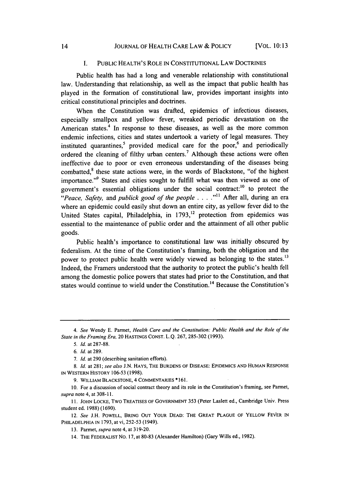#### I. PUBLIC HEALTH'S ROLE IN CONSTITUTIONAL LAW DOCTRINES

Public health has had a long and venerable relationship with constitutional law. Understanding that relationship, as well as the impact that public health has played in the formation of constitutional law, provides important insights into critical constitutional principles and doctrines.

When the Constitution was drafted, epidemics of infectious diseases, especially smallpox and yellow fever, wreaked periodic devastation on the American states.<sup>4</sup> In response to these diseases, as well as the more common endemic infections, cities and states undertook a variety of legal measures. They instituted quarantines,<sup>5</sup> provided medical care for the poor,<sup>6</sup> and periodically ordered the cleaning of filthy urban centers.<sup>7</sup> Although these actions were often ineffective due to poor or even erroneous understanding of the diseases being combatted, $<sup>8</sup>$  these state actions were, in the words of Blackstone, "of the highest</sup> importance."<sup>9</sup> States and cities sought to fulfill what was then viewed as one of government's essential obligations under the social contract:<sup>10</sup> to protect the *"Peace, Safety,* and *publick good of the people* . **. . . "** After all, during an era where an epidemic could easily shut down an entire city, as yellow fever did to the United States capital, Philadelphia, in  $1793$ ,<sup>12</sup> protection from epidemics was essential to the maintenance of public order and the attainment of all other public goods.

Public health's importance to constitutional law was initially obscured by federalism. At the time of the Constitution's framing, both the obligation and the power to protect public health were widely viewed as belonging to the states.<sup>13</sup> Indeed, the Framers understood that the authority to protect the public's health fell among the domestic police powers that states had prior to the Constitution, and that states would continue to wield under the Constitution.<sup>14</sup> Because the Constitution's

*<sup>4.</sup> See* Wendy E. Parmet, *Health Care and* the *Constitution: Public Health and the Role of the State in the Framing Era,* 20 HASTINGS CONST. L.Q. 267, 285-302 (1993).

*<sup>5.</sup> Id.* at 287-88.

*<sup>6.</sup> Id.* at 289.

*<sup>7.</sup> Id.* at 290 (describing sanitation efforts).

*<sup>8.</sup> Id.* at 281; *see also* J.N. HAYS, THE BURDENS OF DISEASE: EPIDEMICS AND HUMAN RESPONSE IN WESTERN HISTORY 106-53 (1998).

<sup>9.</sup> WILLIAM BLACKSTONE, 4 COMMENTARIES \* 161.

<sup>10.</sup> For a discussion of social contract theory and its role in the Constitution's framing, see Parmet, *supra* note 4, at 308-11.

<sup>11.</sup> JOHN LOCKE, Two TREATISES OF GOVERNMENT 353 (Peter Laslett ed., Cambridge Univ. Press student ed. 1988) (1690).

<sup>12.</sup> *See* J.H. POWELL, BRING OUT YOUR DEAD: THE GREAT PLAGUE OF YELLOW FEVER IN PHILADELPHIA IN 1793, at vi, 252-53 (1949).

<sup>13.</sup> Parmet, *supra* note 4, at 319-20.

<sup>14.</sup> THE FEDERALIST No. 17, at 80-83 (Alexander Hamilton) (Gary Wills ed., 1982).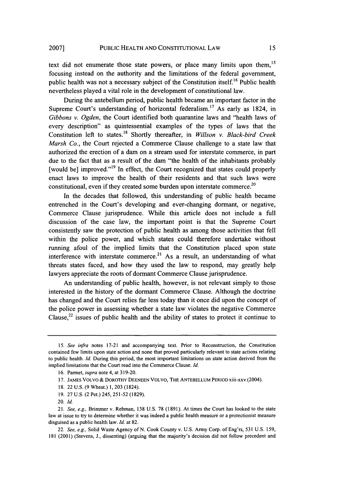text did not enumerate those state powers, or place many limits upon them,<sup>15</sup> focusing instead on the authority and the limitations of the federal government, public health was not a necessary subject of the Constitution itself.<sup>16</sup> Public health nevertheless played a vital role in the development of constitutional law.

During the antebellum period, public health became an important factor in the Supreme Court's understanding of horizontal federalism.<sup>17</sup> As early as 1824, in *Gibbons v. Ogden,* the Court identified both quarantine laws and "health laws of every description" as quintessential examples of the types of laws that the Constitution left to states.<sup>18</sup> Shortly thereafter, in *Willson v. Black-bird Creek Marsh Co.,* the Court rejected a Commerce Clause challenge to a state law that authorized the erection of a dam on a stream used for interstate commerce, in part due to the fact that as a result of the dam "the health of the inhabitants probably [would be] improved."<sup>19</sup> In effect, the Court recognized that states could properly enact laws to improve the health of their residents and that such laws were constitutional, even if they created some burden upon interstate commerce.<sup>20</sup>

In the decades that followed, this understanding of public health became entrenched in the Court's developing and ever-changing dormant, or negative, Commerce Clause jurisprudence. While this article does not include a full discussion of the case law, the important point is that the Supreme Court consistently saw the protection of public health as among those activities that fell within the police power, and which states could therefore undertake without running afoul of the implied limits that the Constitution placed upon state interference with interstate commerce.<sup>21</sup> As a result, an understanding of what threats states faced, and how they used the law to respond, may greatly help lawyers appreciate the roots of dormant Commerce Clause jurisprudence.

An understanding of public health, however, is not relevant simply to those interested in the history of the dormant Commerce Clause. Although the doctrine has changed and the Court relies far less today than it once did upon the concept of the police power in assessing whether a state law violates the negative Commerce Clause,  $22$  issues of public health and the ability of states to protect it continue to

*<sup>15.</sup> See infra* notes 17-21 and accompanying text. Prior to Reconstruction, the Constitution contained few limits upon state action and none that proved particularly relevant to state actions relating to public health. *Id.* During this period, the most important limitations on state action derived from the implied limitations that the Court read into the Commerce Clause. *Id.*

<sup>16.</sup> Parmet, *supra* note 4, at 319-20.

<sup>17.</sup> **JAMES** VOLVO **&** DOROTHY **DEENEEN** VOLVO, THE **ANTEBELLUM** PERIOD xiii-xxv (2004).

<sup>18. 22</sup> U.S. (9 Wheat.) 1,203 (1824).

<sup>19. 27</sup> U.S. (2 Pet.) 245, 251-52 (1829).

<sup>20.</sup> *Id.*

<sup>21.</sup> *See, e.g.,* Brimmer v. Rebman, 138 U.S. 78 (1891). At times the Court has looked to the state law at issue to try to determine whether it was indeed a public health measure or a protectionist measure disguised as a public health law. *Id.* at 82.

<sup>22.</sup> *See, e.g.,* Solid Waste Agency of N. Cook County v. U.S. Army Corp. of Eng'rs, 531 U.S. 159, 181 (2001) (Stevens, J., dissenting) (arguing that the majority's decision did not follow precedent and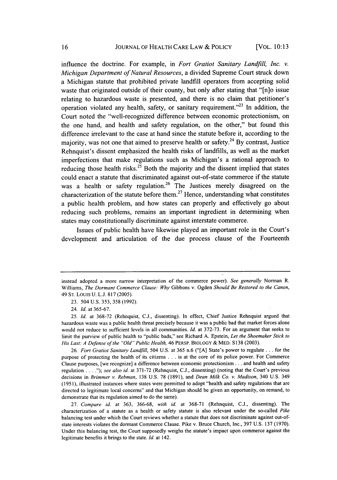influence the doctrine. For example, in *Fort Gratiot Sanitary Landfill, Inc. v. Michigan Department of Natural Resources,* a divided Supreme Court struck down a Michigan statute that prohibited private landfill operators from accepting solid waste that originated outside of their county, but only after stating that "[n]o issue relating to hazardous waste is presented, and there is no claim that petitioner's operation violated any health, safety, or sanitary requirement."<sup>23</sup> In addition, the Court noted the "well-recognized difference between economic protectionism, on the one hand, and health and safety regulation, on the other," but found this difference irrelevant to the case at hand since the statute before it, according to the majority, was not one that aimed to preserve health or safety.<sup>24</sup> By contrast, Justice Rehnquist's dissent emphasized the health risks of landfills, as well as the market imperfections that make regulations such as Michigan's a rational approach to reducing those health risks.<sup>25</sup> Both the majority and the dissent implied that states could enact a statute that discriminated against out-of-state commerce if the statute was a health or safety regulation.<sup>26</sup> The Justices merely disagreed on the characterization of the statute before them.<sup>27</sup> Hence, understanding what constitutes a public health problem, and how states can properly and effectively go about reducing such problems, remains an important ingredient in determining when states may constitutionally discriminate against interstate commerce.

Issues of public health have likewise played an important role in the Court's development and articulation of the due process clause of the Fourteenth

*27. Compare id.* at 363, 366-68, *with id.* at 368-71 (Rehnquist, C.J., dissenting). The characterization of a statute as a health or safety statute is also relevant under the so-called *Pike* balancing test under which the Court reviews whether a statute that does not discriminate against out-ofstate interests violates the dormant Commerce Clause. Pike v. Bruce Church, Inc., 397 U.S. 137 (1970). Under this balancing test, the Court supposedly weighs the statute's impact upon commerce against the legitimate benefits it brings to the state. *Id.* at 142.

instead adopted a more narrow interpretation of the commerce power). *See generally* Norman R. Williams, *The Dormant Commerce Clause: Why* Gibbons v. Ogden *Should Be Restored to the Canon,* 49 **ST.** Louis U. L.J. 817 (2005).

<sup>23. 504</sup> U.S. 353, 358 (1992).

<sup>24.</sup> **Id.** at 365-67.

<sup>25.</sup> *Id.* at 368-72 (Rehnquist, C.J., dissenting). In effect, Chief Justice Rehnquist argued that hazardous waste was a public health threat precisely because it was a public bad that market forces alone would not reduce to sufficient levels in all communities. *Id.* at 372-73. For an argument that seeks to limit the purview of public health to "public bads," see Richard A. Epstein, *Let the Shoemaker Stick to His Last: A Defense of the "Old" Public Health,* 46 PERSP. BIOLOGY & MED. S138 (2003).

<sup>26.</sup> *Fort Gratiot Sanitary Landfill,* 504 U.S. at 365 n.6 ("[A] State's power to regulate **...** for the purpose of protecting the health of its citizens .. .is at the core of its police power. For Commerce Clause purposes, [we recognize] a difference between economic protectionism **...** and health and safety regulation **.... ");** *see also id.* at 371-72 (Rehnquist, C.J., dissenting) (noting that the Court's previous decisions in *Brimmer v. Rebman,* 138 U.S. 78 (1891), and *Dean Milk Co. v. Madison,* 340 U.S. 349 (1951), illustrated instances where states were permitted to adopt "health and safety regulations that are directed to legitimate local concerns" and that Michigan should be given an opportunity, on remand, to demonstrate that its regulation aimed to do the same).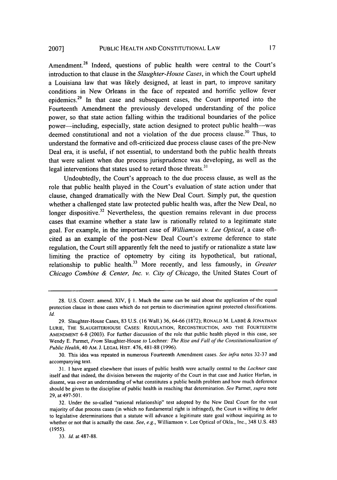Amendment.<sup>28</sup> Indeed, questions of public health were central to the Court's introduction to that clause in the *Slaughter-House Cases,* in which the Court upheld a Louisiana law that was likely designed, at least in part, to improve sanitary conditions in New Orleans in the face of repeated and horrific yellow fever epidemics.29 In that case and subsequent cases, the Court imported into the Fourteenth Amendment the previously developed understanding of the police power, so that state action falling within the traditional boundaries of the police power-including, especially, state action designed to protect public health--was deemed constitutional and not a violation of the due process clause.<sup>30</sup> Thus, to understand the formative and oft-criticized due process clause cases of the pre-New Deal era, it is useful, if not essential, to understand both the public health threats that were salient when due process jurisprudence was developing, as well as the legal interventions that states used to retard those threats.<sup>31</sup>

Undoubtedly, the Court's approach to the due process clause, as well as the role that public health played in the Court's evaluation of state action under that clause, changed dramatically with the New Deal Court. Simply put, the question whether a challenged state law protected public health was, after the New Deal, no longer dispositive.<sup>32</sup> Nevertheless, the question remains relevant in due process cases that examine whether a state law is rationally related to a legitimate state goal. For example, in the important case of *Williamson v. Lee Optical,* a case oftcited as an example of the post-New Deal Court's extreme deference to state regulation, the Court still apparently felt the need to justify or rationalize a state law limiting the practice of optometry by citing its hypothetical, but rational, relationship to public health.<sup>33</sup> More recently, and less famously, in *Greater Chicago Combine & Center, Inc. v. City of Chicago,* the United States Court of

30. This idea was repeated in numerous Fourteenth Amendment cases. *See infra* notes 32-37 and accompanying text.

31. I have argued elsewhere that issues of public health were actually central to the *Lochner* case itself and that indeed, the division between the majority of the Court in that case and Justice Harlan, in dissent, was over an understanding of what constitutes a public health problem and how much deference should be given to the discipline of public health in reaching that determination. *See* Parmet, *supra* note 29, at 497-501.

<sup>28.</sup> U.S. CONST. amend. XIV, § **1.** Much the same can be said about the application of the equal protection clause in those cases which do not pertain to discrimination against protected classifications. *Id.*

<sup>29.</sup> Slaughter-House Cases, 83 U.S. (16 Wall.) 36, 64-66 (1872); RONALD M. LABBÉ & JONATHAN LURIE, THE SLAUGHTERHOUSE CASES: REGULATION, RECONSTRUCTION, AND THE FOURTEENTH AMENDMENT **6-8** (2003). For further discussion of the role that public health played in this case, see Wendy E. Parmet, *From* Slaughter-House *to* Lochner: *The Rise and Fall of the Constitutionalization of Public Health,* 40 AM. J. LEGAL HIST. 476, 481-88 (1996).

<sup>32.</sup> Under the so-called "rational relationship" test adopted by the New Deal Court for the vast majority of due process cases (in which no fundamental right is infringed), the Court is willing to defer to legislative determinations that a statute will advance a legitimate state goal without inquiring as to whether or not that is actually the case. *See, e.g.,* Williamson v. Lee Optical of Okla., Inc., 348 U.S. 483 (1955).

<sup>33.</sup> *Id.* at 487-88.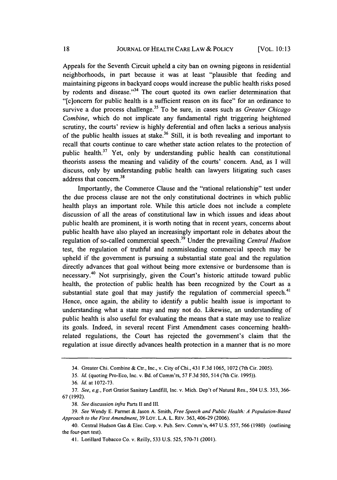Appeals for the Seventh Circuit upheld a city ban on owning pigeons in residential neighborhoods, in part because it was at least "plausible that feeding and maintaining pigeons in backyard coops would increase the public health risks posed by rodents and disease."<sup>34</sup> The court quoted its own earlier determination that "[c]oncern for public health is a sufficient reason on its face" for an ordinance to survive a due process challenge.<sup>35</sup> To be sure, in cases such as *Greater Chicago Combine,* which do not implicate any fundamental right triggering heightened scrutiny, the courts' review is highly deferential and often lacks a serious analysis of the public health issues at stake.<sup>36</sup> Still, it is both revealing and important to recall that courts continue to care whether state action relates to the protection of public health.<sup>37</sup> Yet, only by understanding public health can constitutional theorists assess the meaning and validity of the courts' concern. And, as I will discuss, only by understanding public health can lawyers litigating such cases  $address that concern.<sup>38</sup>$ 

Importantly, the Commerce Clause and the "rational relationship" test under the due process clause are not the only constitutional doctrines in which public health plays an important role. While this article does not include a complete discussion of all the areas of constitutional law in which issues and ideas about public health are prominent, it is worth noting that in recent years, concerns about public health have also played an increasingly important role in debates about the regulation of so-called commercial speech.39 Under the prevailing *Central Hudson* test, the regulation of truthful and nonmisleading commercial speech may be upheld if the government is pursuing a substantial state goal and the regulation directly advances that goal without being more extensive or burdensome than is necessary. 40 Not surprisingly, given the Court's historic attitude toward public health, the protection of public health has been recognized by the Court as a substantial state goal that may justify the regulation of commercial speech.<sup>41</sup> Hence, once again, the ability to identify a public health issue is important to understanding what a state may and may not do. Likewise, an understanding of public health is also useful for evaluating the means that a state may use to realize its goals. Indeed, in several recent First Amendment cases concerning healthrelated regulations, the Court has rejected the government's claim that the regulation at issue directly advances health protection in a manner that is no more

*35. Id.* (quoting Pro-Eco, Inc. v. Bd. of Comm'rs, 57 F.3d 505, 514 (7th Cir. 1995)).

<sup>34.</sup> Greater Chi. Combine & Ctr., Inc., v. City of Chi., 431 F.3d 1065, 1072 (7th Cir. 2005).

<sup>36.</sup> *Id.* at 1072-73.

<sup>37.</sup> *See, e.g.,* Fort Gratiot Sanitary Landfill, Inc. v. Mich. Dep't of Natural Res., 504 U.S. 353, 366- 67(1992).

<sup>38.</sup> *See* discussion *infra* Parts **I1** and III.

<sup>39.</sup> *See* Wendy E. Parmet & Jason A. Smith, *Free Speech and Public Health: A Population-Based Approach to the First Amendment,* 39 LOY. L.A. L. REv. 363, 406-29 (2006).

<sup>40.</sup> Central Hudson Gas & Elec. Corp. v. Pub. Serv. Comm'n, 447 U.S. 557, 566 (1980) (outlining the four-part test).

<sup>41.</sup> Lorillard Tobacco Co. v. Reilly, 533 U.S. 525, 570-71 (2001).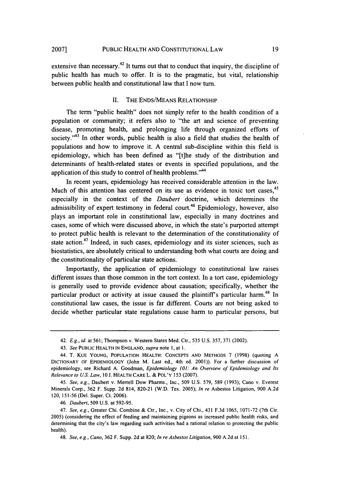extensive than necessary.<sup>42</sup> It turns out that to conduct that inquiry, the discipline of public health has much to offer. It is to the pragmatic, but vital, relationship between public health and constitutional law that I now turn.

#### II. THE ENDS/MEANS RELATIONSHIP

The term "public health" does not simply refer to the health condition of a population or community; it refers also to "the art and science of preventing disease, promoting health, and prolonging life through organized efforts of society."<sup>43</sup> In other words, public health is also a field that studies the health of populations and how to improve it. A central sub-discipline within this field is epidemiology, which has been defined as "[t]he study of the distribution and determinants of health-related states or events in specified populations, and the application of this study to control of health problems."<sup>44</sup>

In recent years, epidemiology has received considerable attention in the law. Much of this attention has centered on its use as evidence in toxic tort cases,<sup>45</sup> especially in the context of the *Daubert* doctrine, which determines the admissibility of expert testimony in federal court.<sup>46</sup> Epidemiology, however, also plays an important role in constitutional law, especially in many doctrines and cases, some of which were discussed above, in which the state's purported attempt to protect public health is relevant to the determination of the constitutionality of state action.<sup>47</sup> Indeed, in such cases, epidemiology and its sister sciences, such as biostatistics, are absolutely critical to understanding both what courts are doing and the constitutionality of particular state actions.

Importantly, the application of epidemiology to constitutional law raises different issues than those common in the tort context. In a tort case, epidemiology is generally used to provide evidence about causation; specifically, whether the particular product or activity at issue caused the plaintiff's particular harm.<sup>48</sup> In constitutional law cases, the issue is far different. Courts are not being asked to decide whether particular state regulations cause harm to particular persons, but

<sup>42.</sup> *E.g., id.* at 561; Thompson v. Western States Med. Ctr., 535 U.S. 357, 371 (2002).

<sup>43.</sup> *See* PUBLIC HEALTH **IN** ENGLAND, *supra* note **1,** at 1.

<sup>44.</sup> T. KUE YOUNG, POPULATION HEALTH: **CONCEPTS AND** METHODS 7 (1998) (quoting A DICTIONARY OF EPIDEMIOLOGY (John M. Last ed., 4th ed. 2001)). For a further discussion of epidemiology, see Richard A. Goodman, *Epidemiology 101: An Overview of Epidemiology and Its Relevance to U.S. Law,* 10 J. HEALTH CARE L. & POL'Y 153 (2007).

*<sup>45.</sup> See, e.g.,* Daubert v. Merrell Dow Pharms., Inc., 509 U.S. 579, 589 (1993); Cano v. Everest Minerals Corp., 362 F. Supp. 2d 814, 820-21 (W.D. Tex. 2005); *In re* Asbestos Litigation, 900 A.2d 120, 151-56 (Del. Super. Ct. 2006).

<sup>46.</sup> *Daubert,* 509 U.S. at 592-95.

<sup>47.</sup> *See, e.g.,* Greater Chi. Combine & Ctr., Inc., v. City of Chi., 431 F.3d 1065, 1071-72 (7th Cir. 2005) (considering the effect of feeding and maintaining pigeons as increased public health risks, and determining that the city's law regarding such activities had a rational relation to protecting the public health).

<sup>48.</sup> *See, e.g., Cano,* 362 F. Supp. 2d at 820; *In re Asbestos Litigation,* 900 A.2d at 151.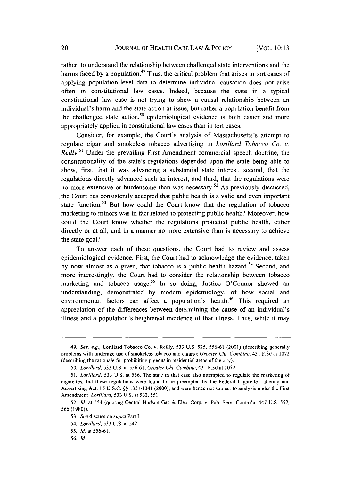rather, to understand the relationship between challenged state interventions and the harms faced by a population.<sup>49</sup> Thus, the critical problem that arises in tort cases of applying population-level data to determine individual causation does not arise often in constitutional law cases. Indeed, because the state in a typical constitutional law case is not trying to show a causal relationship between an individual's harm and the state action at issue, but rather a population benefit from the challenged state action,<sup>50</sup> epidemiological evidence is both easier and more appropriately applied in constitutional law cases than in tort cases.

Consider, for example, the Court's analysis of Massachusetts's attempt to regulate cigar and smokeless tobacco advertising in *Lorillard Tobacco Co. v. Reilly.*<sup>51</sup> Under the prevailing First Amendment commercial speech doctrine, the constitutionality of the state's regulations depended upon the state being able to show, first, that it was advancing a substantial state interest, second, that the regulations directly advanced such an interest, and third, that the regulations were no more extensive or burdensome than was necessary.<sup>52</sup> As previously discussed, the Court has consistently accepted that public health is a valid and even important state function.<sup>53</sup> But how could the Court know that the regulation of tobacco marketing to minors was in fact related to protecting public health? Moreover, how could the Court know whether the regulations protected public health, either directly or at all, and in a manner no more extensive than is necessary to achieve the state goal?

To answer each of these questions, the Court had to review and assess epidemiological evidence. First, the Court had to acknowledge the evidence, taken by now almost as a given, that tobacco is a public health hazard.<sup>54</sup> Second, and more interestingly, the Court had to consider the relationship between tobacco marketing and tobacco usage.<sup>55</sup> In so doing, Justice O'Connor showed an understanding, demonstrated by modem epidemiology, of how social and environmental factors can affect a population's health.<sup>56</sup> This required an appreciation of the differences between determining the cause of an individual's illness and a population's heightened incidence of that illness. Thus, while it may

<sup>49.</sup> *See, e.g.,* Lorillard Tobacco Co. v. Reilly, 533 U.S. 525, 556-61 (2001) (describing generally problems with underage use of smokeless tobacco and cigars); *Greater Chi. Combine,* 431 F.3d at 1072 (describing the rationale for prohibiting pigeons in residential areas of the city).

<sup>50.</sup> *Lorillard,* 533 U.S. at 556-61; *Greater Chi. Combine,* 431 F.3d at 1072.

<sup>51.</sup> *Lorillard,* 533 U.S. at 556. The state in that case also attempted to regulate the marketing of cigarettes, but these regulations were found to be preempted by the Federal Cigarette Labeling and Advertising Act, 15 U.S.C. §§ 1331-1341 (2000), and were hence not subject to analysis under the First Amendment. *Lorillard,* 533 U.S. at 532, *551.*

<sup>52.</sup> *Id.* at 554 (quoting Central Hudson Gas & Elec. Corp. v. Pub. Serv. Comm'n, 447 U.S. 557, 566 (1980)).

<sup>53.</sup> *See* discussion *supra* Part I.

*<sup>54.</sup> Lorillard,* 533 U.S. at 542.

<sup>55.</sup> *Id.* at 556-61.

*<sup>56.</sup> Id.*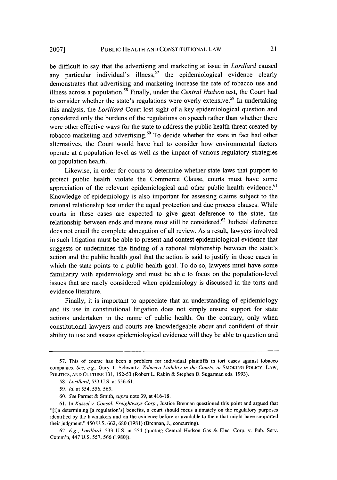be difficult to say that the advertising and marketing at issue in *Lorillard* caused any particular individual's illness,  $57$  the epidemiological evidence clearly demonstrates that advertising and marketing increase the rate of tobacco use and illness across a population. 58 Finally, under the *Central Hudson* test, the Court had to consider whether the state's regulations were overly extensive.<sup>59</sup> In undertaking this analysis, the *Lorillard* Court lost sight of a key epidemiological question and considered only the burdens of the regulations on speech rather than whether there were other effective ways for the state to address the public health threat created by tobacco marketing and advertising. 60 To decide whether the state in fact had other alternatives, the Court would have had to consider how environmental factors operate at a population level as well as the impact of various regulatory strategies on population health.

Likewise, in order for courts to determine whether state laws that purport to protect public health violate the Commerce Clause, courts must have some appreciation of the relevant epidemiological and other public health evidence.<sup>61</sup> Knowledge of epidemiology is also important for assessing claims subject to the rational relationship test under the equal protection and due process clauses. While courts in these cases are expected to give great deference to the state, the relationship between ends and means must still be considered.<sup>62</sup> Judicial deference does not entail the complete abnegation of all review. As a result, lawyers involved in such litigation must be able to present and contest epidemiological evidence that suggests or undermines the finding of a rational relationship between the state's action and the public health goal that the action is said to justify in those cases in which the state points to a public health goal. To do so, lawyers must have some familiarity with epidemiology and must be able to focus on the population-level issues that are rarely considered when epidemiology is discussed in the torts and evidence literature.

Finally, it is important to appreciate that an understanding of epidemiology and its use in constitutional litigation does not simply ensure support for state actions undertaken in the name of public health. On the contrary, only when constitutional lawyers and courts are knowledgeable about and confident of their ability to use and assess epidemiological evidence will they be able to question and

<sup>57.</sup> This of course has been a problem for individual plaintiffs in tort cases against tobacco companies. *See, e.g.,* Gary T. Schwartz, *Tobacco Liability in the Courts, in* SMOKING POLICY: LAW, POLITICS, AND CULTURE 131, 152-53 (Robert L. Rabin & Stephen D. Sugarman eds. 1993).

<sup>58.</sup> *Lorillard,* 533 U.S. at 556-61.

<sup>59.</sup> *Id.* at 554, 556, 565.

<sup>60.</sup> *See* Parmet & Smith, *supra* note 39, at 416-18.

<sup>61.</sup> In *Kassel v. Consol. Freightways Corp.,* Justice Brennan questioned this point and argued that "[i]n determining [a regulation's] benefits, a court should focus ultimately on the regulatory purposes identified by the lawmakers and on the evidence before or available to them that might have supported their judgment." 450 U.S. 662, 680 (1981) (Brennan, **J.,** concurring).

<sup>62.</sup> *E.g., Lorillard,* 533 U.S. at 554 (quoting Central Hudson Gas & Elec. Corp. v. Pub. Serv. Comm'n, 447 U.S. 557, 566 (1980)).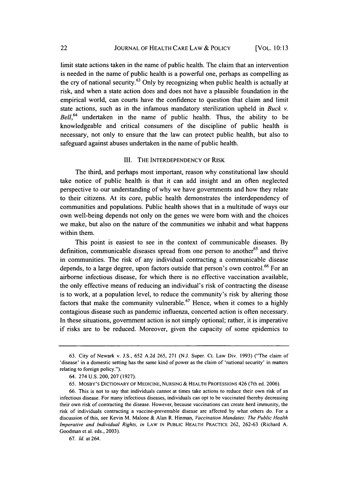limit state actions taken in the name of public health. The claim that an intervention is needed in the name of public health is a powerful one, perhaps as compelling as the cry of national security.<sup>63</sup> Only by recognizing when public health is actually at risk, and when a state action does and does not have a plausible foundation in the empirical world, can courts have the confidence to question that claim and limit state actions, such as in the infamous mandatory sterilization upheld in *Buck v. Bell,64* undertaken in the name of public health. Thus, the ability to be knowledgeable and critical consumers of the discipline of public health is necessary, not only to ensure that the law can protect public health, but also to safeguard against abuses undertaken in the name of public health.

#### III. THE INTERDEPENDENCY OF RISK

The third, and perhaps most important, reason why constitutional law should take notice of public health is that it can add insight and an often neglected perspective to our understanding of why we have governments and how they relate to their citizens. At its core, public health demonstrates the interdependency of communities and populations. Public health shows that in a multitude of ways our own well-being depends not only on the genes we were born with and the choices we make, but also on the nature of the communities we inhabit and what happens within them.

This point is easiest to see in the context of communicable diseases. By definition, communicable diseases spread from one person to another<sup>65</sup> and thrive in communities. The risk of any individual contracting a communicable disease depends, to a large degree, upon factors outside that person's own control.<sup>66</sup> For an airborne infectious disease, for which there is no effective vaccination available, the only effective means of reducing an individual's risk of contracting the disease is to work, at a population level, to reduce the community's risk by altering those factors that make the community vulnerable.<sup>67</sup> Hence, when it comes to a highly contagious disease such as pandemic influenza, concerted action is often necessary. In these situations, government action is not simply optional; rather, it is imperative if risks are to be reduced. Moreover, given the capacity of some epidemics to

<sup>63.</sup> City of Newark v. J.S., 652 A.2d 265, 271 (N.J. Super. Ct. Law Div. 1993) ("The claim of 'disease' in a domestic setting has the same kind of power as the claim of 'national security' in matters relating to foreign policy.").

<sup>64. 274</sup> U.S. 200, 207 (1927).

<sup>65.</sup> MOSBY'S DICTIONARY OF MEDICINE, NURSING & HEALTH PROFESSIONS 426 (7th ed. 2006).

<sup>66.</sup> This is not to say that individuals cannot at times take actions to reduce their own risk of an infectious disease. For many infectious diseases, individuals can opt to be vaccinated thereby decreasing their own risk of contracting the disease. However, because vaccinations can create herd immunity, the risk of individuals contracting a vaccine-preventable disease are affected by what others do. For a discussion of this, see Kevin M. Malone & Alan R. Hinman, Vaccination *Mandates: The Public Health Imperative and Individual Rights, in* LAW **IN** PUBLIC HEALTH PRACTICE 262, 262-63 (Richard A. Goodman et al. eds., 2003).

<sup>67.</sup> *Id.* at 264.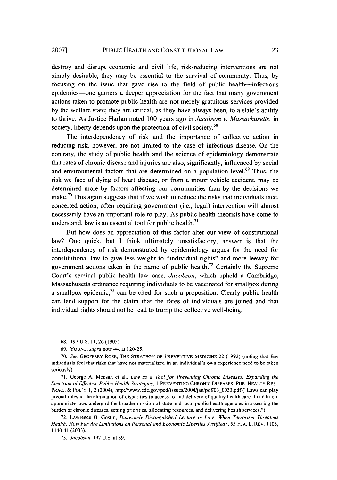destroy and disrupt economic and civil life, risk-reducing interventions are not simply desirable, they may be essential to the survival of community. Thus, by focusing on the issue that gave rise to the field of public health-infectious epidemics-one garners a deeper appreciation for the fact that many government actions taken to promote public health are not merely gratuitous services provided by the welfare state; they are critical, as they have always been, to a state's ability to thrive. As Justice Harlan noted 100 years ago in *Jacobson v. Massachusetts,* in society, liberty depends upon the protection of civil society.<sup>68</sup>

The interdependency of risk and the importance of collective action in reducing risk, however, are not limited to the case of infectious disease. On the contrary, the study of public health and the science of epidemiology demonstrate that rates of chronic disease and injuries are also, significantly, influenced by social and environmental factors that are determined on a population level.<sup>69</sup> Thus, the risk we face of dying of heart disease, or from a motor vehicle accident, may be determined more by factors affecting our communities than by the decisions we make.<sup>70</sup> This again suggests that if we wish to reduce the risks that individuals face, concerted action, often requiring government (i.e., legal) intervention will almost necessarily have an important role to play. As public health theorists have come to understand, law is an essential tool for public health. $71$ 

But how does an appreciation of this factor alter our view of constitutional law? One quick, but I think ultimately unsatisfactory, answer is that the interdependency of risk demonstrated by epidemiology argues for the need for constitutional law to give less weight to "individual rights" and more leeway for government actions taken in the name of public health.<sup>72</sup> Certainly the Supreme Court's seminal public health law case, *Jacobson,* which upheld a Cambridge, Massachusetts ordinance requiring individuals to be vaccinated for smallpox during a smallpox epidemic, $^{73}$  can be cited for such a proposition. Clearly public health can lend support for the claim that the fates of individuals are joined and that individual rights should not be read to trump the collective well-being.

<sup>68. 197</sup> U.S. 11, 26 (1905).

<sup>69.</sup> YOUNG, *supra* note 44, at 120-25.

<sup>70.</sup> See GEOFFREY ROSE, THE STRATEGY OF PREVENTIVE MEDICINE 22 (1992) (noting that few individuals feel that risks that have not materialized in an individual's own experience need to be taken seriously).

<sup>71.</sup> George A. Mensah et al., *Law as a Tool for Preventing Chronic Diseases: Expanding the Spectrum of Effective Public Health Strategies, I* PREVENTING CHRONIC DISEASES: PUB. HEALTH RES., PRAC., & POL'Y 1, 2 (2004), http://www.cdc.gov/pcd/issues/2004/jan/pdf/03-0033.pdf ("Laws can play pivotal roles in the elimination of disparities in access to and delivery of quality health care. In addition, appropriate laws undergird the broader mission of state and local public health agencies in assessing the burden of chronic diseases, setting priorities, allocating resources, and delivering health services.").

<sup>72.</sup> Lawrence **0.** Gostin, *Dunwoody Distinguished Lecture in Law: When Terrorism Threatens Health: How Far Are Limitations on Personal and Economic Liberties Justified?,* 55 FLA. L. REV. 1105, 1140-41 (2003).

<sup>73.</sup> *Jacobson,* 197 U.S. at 39.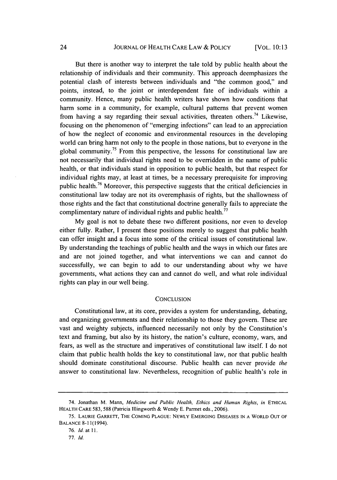But there is another way to interpret the tale told by public health about the relationship of individuals and their community. This approach deemphasizes the potential clash of interests between individuals and "the common good," and points, instead, to the joint or interdependent fate of individuals within a community. Hence, many public health writers have shown how conditions that harm some in a community, for example, cultural patterns that prevent women from having a say regarding their sexual activities, threaten others.<sup>74</sup> Likewise, focusing on the phenomenon of "emerging infections" can lead to an appreciation of how the neglect of economic and environmental resources in the developing world can bring harm not only to the people in those nations, but to everyone in the global community.<sup>75</sup> From this perspective, the lessons for constitutional law are not necessarily that individual rights need to be overridden in the name of public health, or that individuals stand in opposition to public health, but that respect for individual rights may, at least at times, be a necessary prerequisite for improving public health.76 Moreover, this perspective suggests that the critical deficiencies in constitutional law today are not its overemphasis of rights, but the shallowness of those rights and the fact that constitutional doctrine generally fails to appreciate the complimentary nature of individual rights and public health.<sup>77</sup>

My goal is not to debate these two different positions, nor even to develop either fully. Rather, I present these positions merely to suggest that public health can offer insight and a focus into some of the critical issues of constitutional law. By understanding the teachings of public health and the ways in which our fates are and are not joined together, and what interventions we can and cannot do successfully, we can begin to add to our understanding about why we have governments, what actions they can and cannot do well, and what role individual rights can play in our well being.

#### **CONCLUSION**

Constitutional law, at its core, provides a system for understanding, debating, and organizing governments and their relationship to those they govern. These are vast and weighty subjects, influenced necessarily not only by the Constitution's text and framing, but also by its history, the nation's culture, economy, wars, and fears, as well as the structure and imperatives of constitutional law itself. I do not claim that public health holds the key to constitutional law, nor that public health should dominate constitutional discourse. Public health can never provide *the* answer to constitutional law. Nevertheless, recognition of public health's role in

<sup>74.</sup> Jonathan M. Mann, *Medicine and Public Health, Ethics and Human Rights, in* ETHICAL HEALTH CARE 583, 588 (Patricia Illingworth & Wendy E. Parmet eds., 2006).

<sup>75.</sup> LAURIE GARRETT, THE COMING PLAGUE: NEWLY EMERGING DISEASES IN A WORLD OUT OF BALANCE 8-11(1994).

<sup>76.</sup> *ld.* at 11.

*<sup>77.</sup>* **ld.**